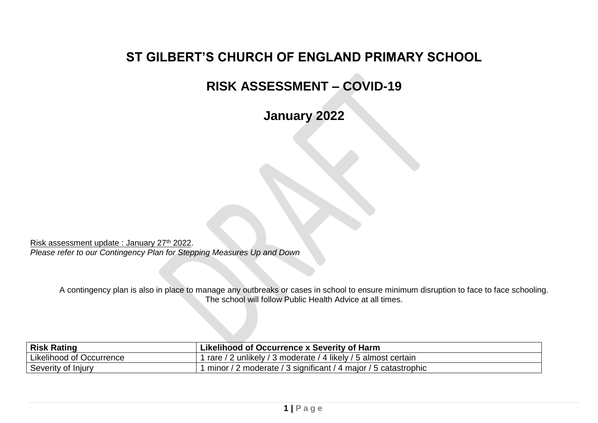## **ST GILBERT'S CHURCH OF ENGLAND PRIMARY SCHOOL**

## **RISK ASSESSMENT – COVID-19**

**January 2022**

Risk assessment update : January 27<sup>th</sup> 2022. *Please refer to our Contingency Plan for Stepping Measures Up and Down*

> A contingency plan is also in place to manage any outbreaks or cases in school to ensure minimum disruption to face to face schooling. The school will follow Public Health Advice at all times.

| <b>Risk Rating</b>              | Likelihood of Occurrence x Severity of Harm                     |
|---------------------------------|-----------------------------------------------------------------|
| <b>Likelihood of Occurrence</b> | 1 rare / 2 unlikely / 3 moderate / 4 likely / 5 almost certain  |
| Severity of Injury              | 1 minor / 2 moderate / 3 significant / 4 major / 5 catastrophic |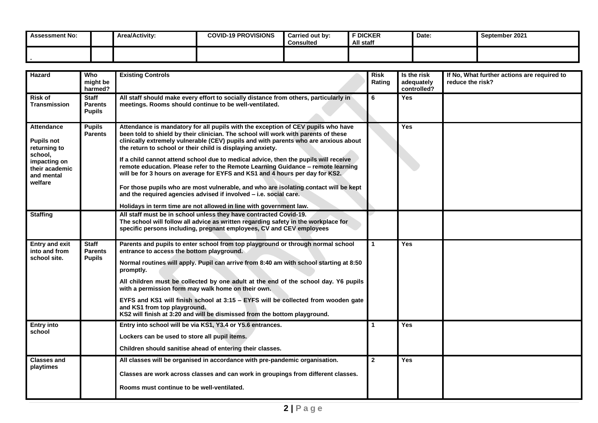| <b>Assessment No:</b> | <b>Area/Activity:</b> | <b>COVID-19 PROVISIONS</b> | Carried out by:<br><b>Consulted</b> | F DICKER<br>All staff | Date: | September 2021 |
|-----------------------|-----------------------|----------------------------|-------------------------------------|-----------------------|-------|----------------|
|                       |                       |                            |                                     |                       |       |                |

| Hazard                                                                                                                | Who<br>might be<br>harmed?                      | <b>Existing Controls</b>                                                                                                                                                                                                                                                                                                                                                                                                                                                                                                                                                                                                                                                                                                                                                                                                  | <b>Risk</b><br>Rating | Is the risk<br>adequately<br>controlled? | If No, What further actions are required to<br>reduce the risk? |
|-----------------------------------------------------------------------------------------------------------------------|-------------------------------------------------|---------------------------------------------------------------------------------------------------------------------------------------------------------------------------------------------------------------------------------------------------------------------------------------------------------------------------------------------------------------------------------------------------------------------------------------------------------------------------------------------------------------------------------------------------------------------------------------------------------------------------------------------------------------------------------------------------------------------------------------------------------------------------------------------------------------------------|-----------------------|------------------------------------------|-----------------------------------------------------------------|
| <b>Risk of</b><br>Transmission                                                                                        | <b>Staff</b><br><b>Parents</b><br><b>Pupils</b> | All staff should make every effort to socially distance from others, particularly in<br>meetings. Rooms should continue to be well-ventilated.                                                                                                                                                                                                                                                                                                                                                                                                                                                                                                                                                                                                                                                                            | 6                     | <b>Yes</b>                               |                                                                 |
| Attendance<br><b>Pupils not</b><br>returning to<br>school,<br>impacting on<br>their academic<br>and mental<br>welfare | <b>Pupils</b><br><b>Parents</b>                 | Attendance is mandatory for all pupils with the exception of CEV pupils who have<br>been told to shield by their clinician. The school will work with parents of these<br>clinically extremely vulnerable (CEV) pupils and with parents who are anxious about<br>the return to school or their child is displaying anxiety.<br>If a child cannot attend school due to medical advice, then the pupils will receive<br>remote education. Please refer to the Remote Learning Guidance - remote learning<br>will be for 3 hours on average for EYFS and KS1 and 4 hours per day for KS2.<br>For those pupils who are most vulnerable, and who are isolating contact will be kept<br>and the required agencies advised if involved - i.e. social care.<br>Holidays in term time are not allowed in line with government law. |                       | <b>Yes</b>                               |                                                                 |
| <b>Staffing</b>                                                                                                       |                                                 | All staff must be in school unless they have contracted Covid-19.<br>The school will follow all advice as written regarding safety in the workplace for<br>specific persons including, pregnant employees, CV and CEV employees                                                                                                                                                                                                                                                                                                                                                                                                                                                                                                                                                                                           |                       |                                          |                                                                 |
| <b>Entry and exit</b><br>into and from<br>school site.                                                                | <b>Staff</b><br><b>Parents</b><br><b>Pupils</b> | Parents and pupils to enter school from top playground or through normal school<br>entrance to access the bottom playground.<br>Normal routines will apply. Pupil can arrive from 8:40 am with school starting at 8:50<br>promptly.<br>All children must be collected by one adult at the end of the school day. Y6 pupils<br>with a permission form may walk home on their own.<br>EYFS and KS1 will finish school at 3:15 - EYFS will be collected from wooden gate<br>and KS1 from top playground.<br>KS2 will finish at 3:20 and will be dismissed from the bottom playground.                                                                                                                                                                                                                                        |                       | <b>Yes</b>                               |                                                                 |
| <b>Entry into</b><br>school                                                                                           |                                                 | Entry into school will be via KS1, Y3.4 or Y5.6 entrances.<br>Lockers can be used to store all pupil items.<br>Children should sanitise ahead of entering their classes.                                                                                                                                                                                                                                                                                                                                                                                                                                                                                                                                                                                                                                                  |                       | <b>Yes</b>                               |                                                                 |
| <b>Classes and</b><br>playtimes                                                                                       |                                                 | All classes will be organised in accordance with pre-pandemic organisation.<br>Classes are work across classes and can work in groupings from different classes.<br>Rooms must continue to be well-ventilated.                                                                                                                                                                                                                                                                                                                                                                                                                                                                                                                                                                                                            | $\mathbf{2}$          | <b>Yes</b>                               |                                                                 |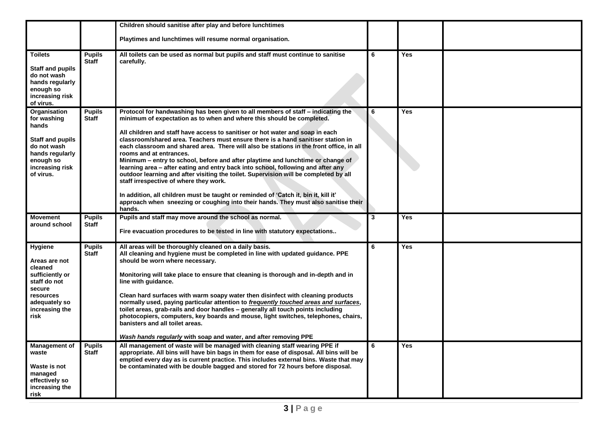|                                                                                                                                                |                               | Children should sanitise after play and before lunchtimes                                                                                                                                                                                                                                                                                                                                                                                                                                                                                                                                                                                                                                                                                                                                                                                                                                                                                            |   |            |  |
|------------------------------------------------------------------------------------------------------------------------------------------------|-------------------------------|------------------------------------------------------------------------------------------------------------------------------------------------------------------------------------------------------------------------------------------------------------------------------------------------------------------------------------------------------------------------------------------------------------------------------------------------------------------------------------------------------------------------------------------------------------------------------------------------------------------------------------------------------------------------------------------------------------------------------------------------------------------------------------------------------------------------------------------------------------------------------------------------------------------------------------------------------|---|------------|--|
|                                                                                                                                                |                               | Playtimes and lunchtimes will resume normal organisation.                                                                                                                                                                                                                                                                                                                                                                                                                                                                                                                                                                                                                                                                                                                                                                                                                                                                                            |   |            |  |
| <b>Toilets</b><br><b>Staff and pupils</b><br>do not wash<br>hands regularly<br>enough so<br>increasing risk<br>of virus.                       | <b>Pupils</b><br><b>Staff</b> | All toilets can be used as normal but pupils and staff must continue to sanitise<br>carefully.                                                                                                                                                                                                                                                                                                                                                                                                                                                                                                                                                                                                                                                                                                                                                                                                                                                       | 6 | <b>Yes</b> |  |
| Organisation<br>for washing<br>hands<br><b>Staff and pupils</b><br>do not wash<br>hands regularly<br>enough so<br>increasing risk<br>of virus. | <b>Pupils</b><br><b>Staff</b> | Protocol for handwashing has been given to all members of staff - indicating the<br>minimum of expectation as to when and where this should be completed.<br>All children and staff have access to sanitiser or hot water and soap in each<br>classroom/shared area. Teachers must ensure there is a hand sanitiser station in<br>each classroom and shared area. There will also be stations in the front office, in all<br>rooms and at entrances.<br>Minimum - entry to school, before and after playtime and lunchtime or change of<br>learning area - after eating and entry back into school, following and after any<br>outdoor learning and after visiting the toilet. Supervision will be completed by all<br>staff irrespective of where they work.<br>In addition, all children must be taught or reminded of 'Catch it, bin it, kill it'<br>approach when sneezing or coughing into their hands. They must also sanitise their<br>hands. | 6 | Yes        |  |
| <b>Movement</b><br>around school                                                                                                               | <b>Pupils</b><br><b>Staff</b> | Pupils and staff may move around the school as normal.<br>Fire evacuation procedures to be tested in line with statutory expectations                                                                                                                                                                                                                                                                                                                                                                                                                                                                                                                                                                                                                                                                                                                                                                                                                | 3 | Yes        |  |
| Hygiene<br>Areas are not<br>cleaned<br>sufficiently or<br>staff do not<br>secure<br>resources<br>adequately so<br>increasing the<br>risk       | <b>Pupils</b><br><b>Staff</b> | All areas will be thoroughly cleaned on a daily basis.<br>All cleaning and hygiene must be completed in line with updated guidance. PPE<br>should be worn where necessary.<br>Monitoring will take place to ensure that cleaning is thorough and in-depth and in<br>line with guidance.<br>Clean hard surfaces with warm soapy water then disinfect with cleaning products<br>normally used, paying particular attention to frequently touched areas and surfaces,<br>toilet areas, grab-rails and door handles - generally all touch points including<br>photocopiers, computers, key boards and mouse, light switches, telephones, chairs,<br>banisters and all toilet areas.<br>Wash hands regularly with soap and water, and after removing PPE                                                                                                                                                                                                  | 6 | Yes        |  |
| Management of<br>waste<br>Waste is not<br>managed<br>effectively so<br>increasing the<br>risk                                                  | <b>Pupils</b><br><b>Staff</b> | All management of waste will be managed with cleaning staff wearing PPE if<br>appropriate. All bins will have bin bags in them for ease of disposal. All bins will be<br>emptied every day as is current practice. This includes external bins. Waste that may<br>be contaminated with be double bagged and stored for 72 hours before disposal.                                                                                                                                                                                                                                                                                                                                                                                                                                                                                                                                                                                                     | 6 | Yes        |  |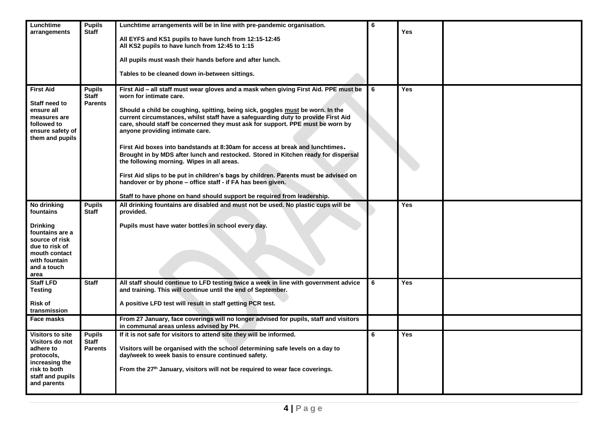| Lunchtime<br>arrangements                                                                                                                                   | <b>Pupils</b><br><b>Staff</b>                   | Lunchtime arrangements will be in line with pre-pandemic organisation.<br>All EYFS and KS1 pupils to have lunch from 12:15-12:45<br>All KS2 pupils to have lunch from 12:45 to 1:15<br>All pupils must wash their hands before and after lunch.<br>Tables to be cleaned down in-between sittings.                                                                                                                                                                                                                                                                                                                                                                                                                                                                                                                                                                  | 6 | <b>Yes</b> |  |
|-------------------------------------------------------------------------------------------------------------------------------------------------------------|-------------------------------------------------|--------------------------------------------------------------------------------------------------------------------------------------------------------------------------------------------------------------------------------------------------------------------------------------------------------------------------------------------------------------------------------------------------------------------------------------------------------------------------------------------------------------------------------------------------------------------------------------------------------------------------------------------------------------------------------------------------------------------------------------------------------------------------------------------------------------------------------------------------------------------|---|------------|--|
| <b>First Aid</b><br>Staff need to<br>ensure all<br>measures are<br>followed to<br>ensure safety of<br>them and pupils                                       | <b>Pupils</b><br><b>Staff</b><br><b>Parents</b> | First Aid - all staff must wear gloves and a mask when giving First Aid. PPE must be<br>worn for intimate care.<br>Should a child be coughing, spitting, being sick, goggles must be worn. In the<br>current circumstances, whilst staff have a safeguarding duty to provide First Aid<br>care, should staff be concerned they must ask for support. PPE must be worn by<br>anyone providing intimate care.<br>First Aid boxes into bandstands at 8:30am for access at break and lunchtimes.<br>Brought in by MDS after lunch and restocked. Stored in Kitchen ready for dispersal<br>the following morning. Wipes in all areas.<br>First Aid slips to be put in children's bags by children. Parents must be advised on<br>handover or by phone - office staff - if FA has been given.<br>Staff to have phone on hand should support be required from leadership. | 6 | <b>Yes</b> |  |
| No drinking<br>fountains<br><b>Drinking</b><br>fountains are a<br>source of risk<br>due to risk of<br>mouth contact<br>with fountain<br>and a touch<br>area | <b>Pupils</b><br><b>Staff</b>                   | All drinking fountains are disabled and must not be used. No plastic cups will be<br>provided.<br>Pupils must have water bottles in school every day.                                                                                                                                                                                                                                                                                                                                                                                                                                                                                                                                                                                                                                                                                                              |   | <b>Yes</b> |  |
| <b>Staff LFD</b><br><b>Testing</b><br><b>Risk of</b><br>transmission                                                                                        | <b>Staff</b>                                    | All staff should continue to LFD testing twice a week in line with government advice<br>and training. This will continue until the end of September.<br>A positive LFD test will result in staff getting PCR test.                                                                                                                                                                                                                                                                                                                                                                                                                                                                                                                                                                                                                                                 | 6 | Yes        |  |
| Face masks                                                                                                                                                  |                                                 | From 27 January, face coverings will no longer advised for pupils, staff and visitors<br>in communal areas unless advised by PH.                                                                                                                                                                                                                                                                                                                                                                                                                                                                                                                                                                                                                                                                                                                                   |   |            |  |
| <b>Visitors to site</b><br>Visitors do not<br>adhere to<br>protocols,<br>increasing the<br>risk to both<br>staff and pupils<br>and parents                  | <b>Pupils</b><br><b>Staff</b><br><b>Parents</b> | If it is not safe for visitors to attend site they will be informed.<br>Visitors will be organised with the school determining safe levels on a day to<br>day/week to week basis to ensure continued safety.<br>From the 27th January, visitors will not be required to wear face coverings.                                                                                                                                                                                                                                                                                                                                                                                                                                                                                                                                                                       | 6 | <b>Yes</b> |  |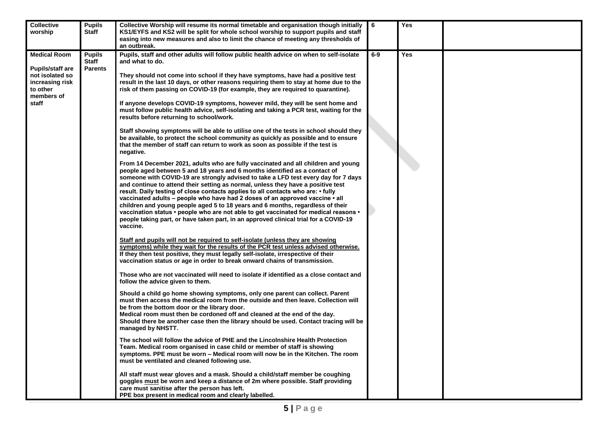| <b>Collective</b><br>worship                                                                                            | <b>Pupils</b><br><b>Staff</b>                   | Collective Worship will resume its normal timetable and organisation though initially<br>KS1/EYFS and KS2 will be split for whole school worship to support pupils and staff<br>easing into new measures and also to limit the chance of meeting any thresholds of<br>an outbreak.                                                                                                                                                                                                                                                                                                                                                                                                                                                                                                                                                                                                                                                                                                                                                                                                                                                                                                                                                                                                                                                                                                                                                                                                                                                                                                                                                                                                                                                                                                                                                                                                                                                                                                                                                                                                                                                                                                                                                                                                                                                                                                                                                                                                                                                                                                                                                                                                                                                                                                                                                                                                                                                                                                                                                                                                                   | 6     | <b>Yes</b> |  |
|-------------------------------------------------------------------------------------------------------------------------|-------------------------------------------------|------------------------------------------------------------------------------------------------------------------------------------------------------------------------------------------------------------------------------------------------------------------------------------------------------------------------------------------------------------------------------------------------------------------------------------------------------------------------------------------------------------------------------------------------------------------------------------------------------------------------------------------------------------------------------------------------------------------------------------------------------------------------------------------------------------------------------------------------------------------------------------------------------------------------------------------------------------------------------------------------------------------------------------------------------------------------------------------------------------------------------------------------------------------------------------------------------------------------------------------------------------------------------------------------------------------------------------------------------------------------------------------------------------------------------------------------------------------------------------------------------------------------------------------------------------------------------------------------------------------------------------------------------------------------------------------------------------------------------------------------------------------------------------------------------------------------------------------------------------------------------------------------------------------------------------------------------------------------------------------------------------------------------------------------------------------------------------------------------------------------------------------------------------------------------------------------------------------------------------------------------------------------------------------------------------------------------------------------------------------------------------------------------------------------------------------------------------------------------------------------------------------------------------------------------------------------------------------------------------------------------------------------------------------------------------------------------------------------------------------------------------------------------------------------------------------------------------------------------------------------------------------------------------------------------------------------------------------------------------------------------------------------------------------------------------------------------------------------------|-------|------------|--|
| <b>Medical Room</b><br><b>Pupils/staff are</b><br>not isolated so<br>increasing risk<br>to other<br>members of<br>staff | <b>Pupils</b><br><b>Staff</b><br><b>Parents</b> | Pupils, staff and other adults will follow public health advice on when to self-isolate<br>and what to do.<br>They should not come into school if they have symptoms, have had a positive test<br>result in the last 10 days, or other reasons requiring them to stay at home due to the<br>risk of them passing on COVID-19 (for example, they are required to quarantine).<br>If anyone develops COVID-19 symptoms, however mild, they will be sent home and<br>must follow public health advice, self-isolating and taking a PCR test, waiting for the<br>results before returning to school/work.<br>Staff showing symptoms will be able to utilise one of the tests in school should they<br>be available, to protect the school community as quickly as possible and to ensure<br>that the member of staff can return to work as soon as possible if the test is<br>negative.<br>From 14 December 2021, adults who are fully vaccinated and all children and young<br>people aged between 5 and 18 years and 6 months identified as a contact of<br>someone with COVID-19 are strongly advised to take a LFD test every day for 7 days<br>and continue to attend their setting as normal, unless they have a positive test<br>result. Daily testing of close contacts applies to all contacts who are: • fully<br>vaccinated adults - people who have had 2 doses of an approved vaccine • all<br>children and young people aged 5 to 18 years and 6 months, regardless of their<br>vaccination status • people who are not able to get vaccinated for medical reasons •<br>people taking part, or have taken part, in an approved clinical trial for a COVID-19<br>vaccine.<br>Staff and pupils will not be required to self-isolate (unless they are showing<br>symptoms) while they wait for the results of the PCR test unless advised otherwise.<br>If they then test positive, they must legally self-isolate, irrespective of their<br>vaccination status or age in order to break onward chains of transmission.<br>Those who are not vaccinated will need to isolate if identified as a close contact and<br>follow the advice given to them.<br>Should a child go home showing symptoms, only one parent can collect. Parent<br>must then access the medical room from the outside and then leave. Collection will<br>be from the bottom door or the library door.<br>Medical room must then be cordoned off and cleaned at the end of the day.<br>Should there be another case then the library should be used. Contact tracing will be<br>managed by NHSTT.<br>The school will follow the advice of PHE and the Lincolnshire Health Protection<br>Team. Medical room organised in case child or member of staff is showing<br>symptoms. PPE must be worn - Medical room will now be in the Kitchen. The room<br>must be ventilated and cleaned following use.<br>All staff must wear gloves and a mask. Should a child/staff member be coughing<br>goggles must be worn and keep a distance of 2m where possible. Staff providing<br>care must sanitise after the person has left. | $6-9$ | Yes        |  |
|                                                                                                                         |                                                 | PPE box present in medical room and clearly labelled.                                                                                                                                                                                                                                                                                                                                                                                                                                                                                                                                                                                                                                                                                                                                                                                                                                                                                                                                                                                                                                                                                                                                                                                                                                                                                                                                                                                                                                                                                                                                                                                                                                                                                                                                                                                                                                                                                                                                                                                                                                                                                                                                                                                                                                                                                                                                                                                                                                                                                                                                                                                                                                                                                                                                                                                                                                                                                                                                                                                                                                                |       |            |  |